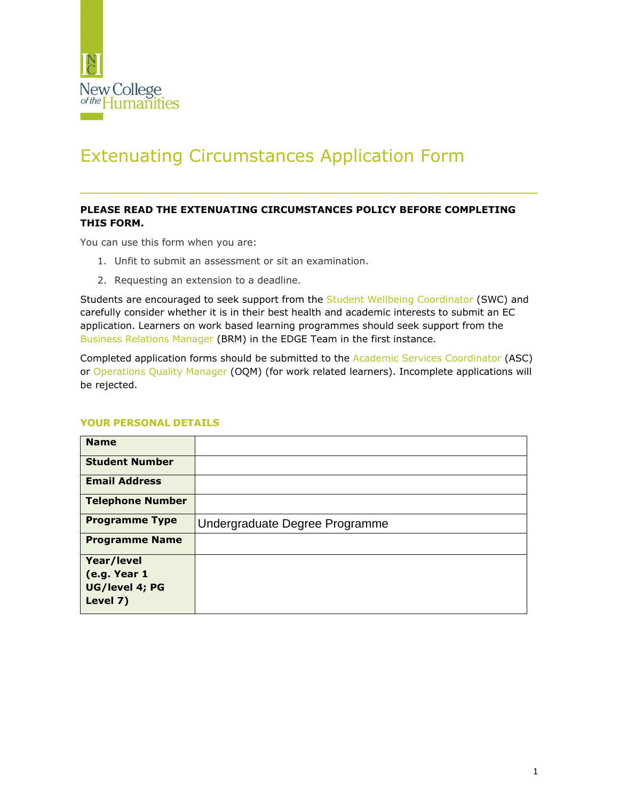

# Extenuating Circumstances Application Form

# **PLEASE READ THE EXTENUATING CIRCUMSTANCES POLICY BEFORE COMPLETING THIS FORM.**

\_\_\_\_\_\_\_\_\_\_\_\_\_\_\_\_\_\_\_\_\_\_\_\_\_\_\_\_\_\_\_\_\_\_\_\_\_\_\_\_\_\_

You can use this form when you are:

- 1. Unfit to submit an assessment or sit an examination.
- 2. Requesting an extension to a deadline.

Students are encouraged to seek support from the Student Wellbeing Coordinator (SWC) and carefully consider whether it is in their best health and academic interests to submit an EC application. Learners on work based learning programmes should seek support from the Business Relations Manager (BRM) in the EDGE Team in the first instance.

Completed application forms should be submitted to the Academic Services Coordinator (ASC) or Operations Quality Manager (OQM) (for work related learners). Incomplete applications will be rejected.

| <b>Name</b>             |                                |
|-------------------------|--------------------------------|
| <b>Student Number</b>   |                                |
| <b>Email Address</b>    |                                |
| <b>Telephone Number</b> |                                |
| <b>Programme Type</b>   | Undergraduate Degree Programme |
| <b>Programme Name</b>   |                                |
| Year/level              |                                |
| (e.g. Year 1            |                                |
| UG/level 4; PG          |                                |
| Level 7)                |                                |

## **YOUR PERSONAL DETAILS**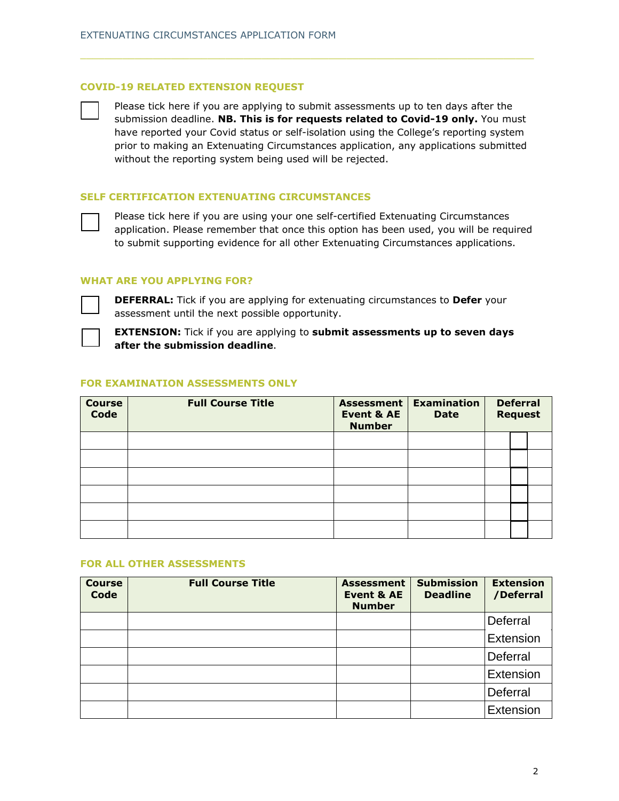#### **COVID-19 RELATED EXTENSION REQUEST**

Please tick here if you are applying to submit assessments up to ten days after the submission deadline. **NB. This is for requests related to Covid-19 only.** You must have reported your Covid status or self-isolation using the College's reporting system prior to making an Extenuating Circumstances application, any applications submitted without the reporting system being used will be rejected.

#### **SELF CERTIFICATION EXTENUATING CIRCUMSTANCES**

Please tick here if you are using your one self-certified Extenuating Circumstances application. Please remember that once this option has been used, you will be required to submit supporting evidence for all other Extenuating Circumstances applications.

#### **WHAT ARE YOU APPLYING FOR?**



**DEFERRAL:** Tick if you are applying for extenuating circumstances to **Defer** your assessment until the next possible opportunity.

**EXTENSION:** Tick if you are applying to **submit assessments up to seven days after the submission deadline**.

#### **FOR EXAMINATION ASSESSMENTS ONLY**

| <b>Course</b><br>Code | <b>Full Course Title</b> | Assessment  <br><b>Event &amp; AE</b><br><b>Number</b> | <b>Examination</b><br><b>Date</b> | <b>Deferral</b><br><b>Request</b> |  |
|-----------------------|--------------------------|--------------------------------------------------------|-----------------------------------|-----------------------------------|--|
|                       |                          |                                                        |                                   |                                   |  |
|                       |                          |                                                        |                                   |                                   |  |
|                       |                          |                                                        |                                   |                                   |  |
|                       |                          |                                                        |                                   |                                   |  |
|                       |                          |                                                        |                                   |                                   |  |
|                       |                          |                                                        |                                   |                                   |  |

#### **FOR ALL OTHER ASSESSMENTS**

| <b>Course</b><br>Code | <b>Full Course Title</b> | <b>Assessment</b><br><b>Event &amp; AE</b><br><b>Number</b> | <b>Submission</b><br><b>Deadline</b> | <b>Extension</b><br>/Deferral |
|-----------------------|--------------------------|-------------------------------------------------------------|--------------------------------------|-------------------------------|
|                       |                          |                                                             |                                      | Deferral                      |
|                       |                          |                                                             |                                      | Extension                     |
|                       |                          |                                                             |                                      | Deferral                      |
|                       |                          |                                                             |                                      | Extension                     |
|                       |                          |                                                             |                                      | Deferral                      |
|                       |                          |                                                             |                                      | Extension                     |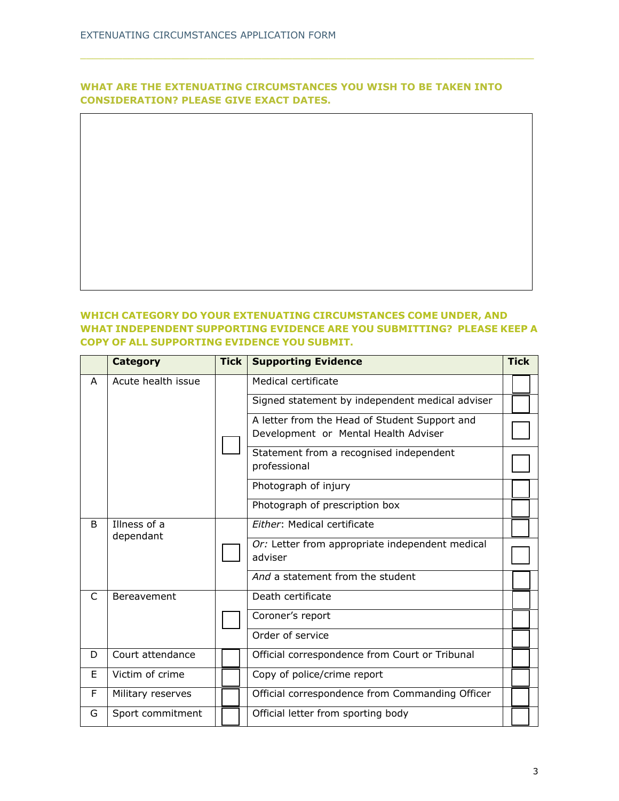# **WHAT ARE THE EXTENUATING CIRCUMSTANCES YOU WISH TO BE TAKEN INTO CONSIDERATION? PLEASE GIVE EXACT DATES.**

### **WHICH CATEGORY DO YOUR EXTENUATING CIRCUMSTANCES COME UNDER, AND WHAT INDEPENDENT SUPPORTING EVIDENCE ARE YOU SUBMITTING? PLEASE KEEP A COPY OF ALL SUPPORTING EVIDENCE YOU SUBMIT.**

|    | <b>Category</b>    | <b>Tick</b> | <b>Supporting Evidence</b>                              | <b>Tick</b> |  |
|----|--------------------|-------------|---------------------------------------------------------|-------------|--|
| A  | Acute health issue |             | Medical certificate                                     |             |  |
|    |                    |             | Signed statement by independent medical adviser         |             |  |
|    |                    |             | A letter from the Head of Student Support and           |             |  |
|    |                    |             | Development or Mental Health Adviser                    |             |  |
|    |                    |             | Statement from a recognised independent<br>professional |             |  |
|    |                    |             | Photograph of injury                                    |             |  |
|    |                    |             | Photograph of prescription box                          |             |  |
| B. | Illness of a       |             | Either: Medical certificate                             |             |  |
|    | dependant          |             | Or: Letter from appropriate independent medical         |             |  |
|    |                    |             | adviser                                                 |             |  |
|    |                    |             | And a statement from the student                        |             |  |
| C  | Bereavement        |             | Death certificate                                       |             |  |
|    |                    |             | Coroner's report                                        |             |  |
|    |                    |             | Order of service                                        |             |  |
| D  | Court attendance   |             | Official correspondence from Court or Tribunal          |             |  |
| F  | Victim of crime    |             | Copy of police/crime report                             |             |  |
| F  | Military reserves  |             | Official correspondence from Commanding Officer         |             |  |
| G  | Sport commitment   |             | Official letter from sporting body                      |             |  |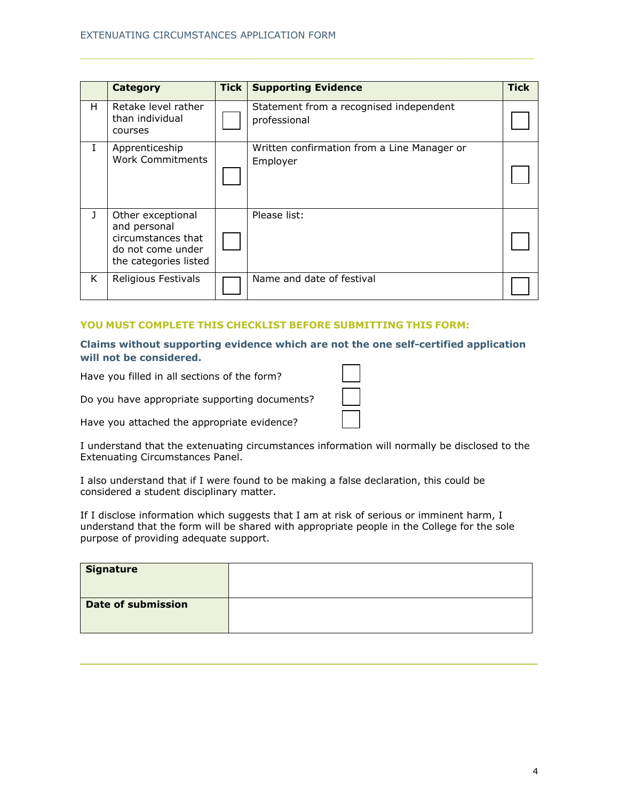|   | <b>Category</b>                                                                                       | <b>Tick</b> | <b>Supporting Evidence</b>                              | <b>Tick</b> |
|---|-------------------------------------------------------------------------------------------------------|-------------|---------------------------------------------------------|-------------|
| H | Retake level rather<br>than individual<br>courses                                                     |             | Statement from a recognised independent<br>professional |             |
| I | Apprenticeship<br><b>Work Commitments</b>                                                             |             | Written confirmation from a Line Manager or<br>Employer |             |
| J | Other exceptional<br>and personal<br>circumstances that<br>do not come under<br>the categories listed |             | Please list:                                            |             |
| K | Religious Festivals                                                                                   |             | Name and date of festival                               |             |

#### **YOU MUST COMPLETE THIS CHECKLIST BEFORE SUBMITTING THIS FORM:**

**Claims without supporting evidence which are not the one self-certified application will not be considered.** 

Have you filled in all sections of the form?

Do you have appropriate supporting documents?

Have you attached the appropriate evidence?

I understand that the extenuating circumstances information will normally be disclosed to the Extenuating Circumstances Panel.

I also understand that if I were found to be making a false declaration, this could be considered a student disciplinary matter.

If I disclose information which suggests that I am at risk of serious or imminent harm, I understand that the form will be shared with appropriate people in the College for the sole purpose of providing adequate support.

| <b>Signature</b>          |  |
|---------------------------|--|
| <b>Date of submission</b> |  |

\_\_\_\_\_\_\_\_\_\_\_\_\_\_\_\_\_\_\_\_\_\_\_\_\_\_\_\_\_\_\_\_\_\_\_\_\_\_\_\_\_\_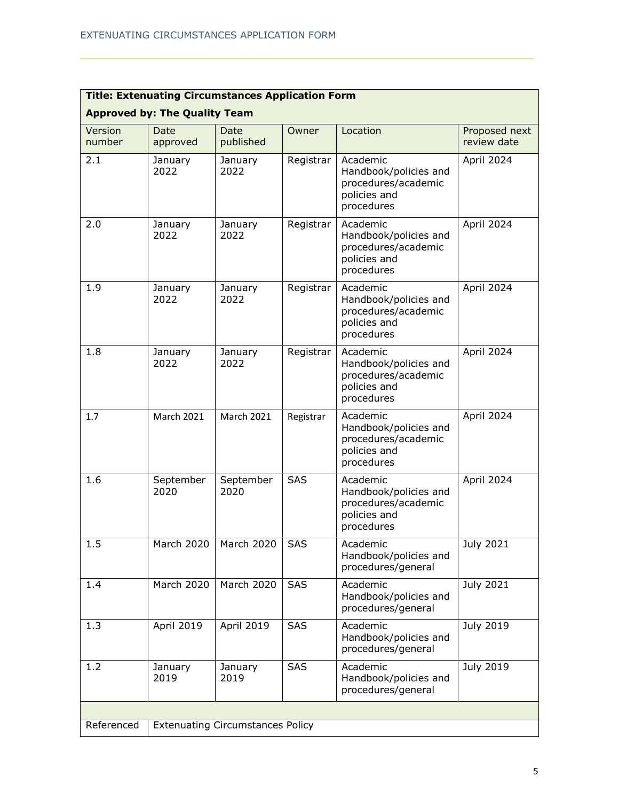| <b>Title: Extenuating Circumstances Application Form</b> |                                      |                                         |            |                                                                                        |                              |  |
|----------------------------------------------------------|--------------------------------------|-----------------------------------------|------------|----------------------------------------------------------------------------------------|------------------------------|--|
|                                                          | <b>Approved by: The Quality Team</b> |                                         |            |                                                                                        |                              |  |
| Version<br>number                                        | Date<br>approved                     | Date<br>published                       | Owner      | Location                                                                               | Proposed next<br>review date |  |
| 2.1                                                      | January<br>2022                      | January<br>2022                         | Registrar  | Academic<br>Handbook/policies and<br>procedures/academic<br>policies and<br>procedures | April 2024                   |  |
| 2.0                                                      | January<br>2022                      | January<br>2022                         | Registrar  | Academic<br>Handbook/policies and<br>procedures/academic<br>policies and<br>procedures | April 2024                   |  |
| 1.9                                                      | January<br>2022                      | January<br>2022                         | Registrar  | Academic<br>Handbook/policies and<br>procedures/academic<br>policies and<br>procedures | April 2024                   |  |
| 1.8                                                      | January<br>2022                      | January<br>2022                         | Registrar  | Academic<br>Handbook/policies and<br>procedures/academic<br>policies and<br>procedures | April 2024                   |  |
| 1.7                                                      | <b>March 2021</b>                    | <b>March 2021</b>                       | Registrar  | Academic<br>Handbook/policies and<br>procedures/academic<br>policies and<br>procedures | April 2024                   |  |
| 1.6                                                      | September<br>2020                    | September<br>2020                       | <b>SAS</b> | Academic<br>Handbook/policies and<br>procedures/academic<br>policies and<br>procedures | April 2024                   |  |
| 1.5                                                      | March 2020                           | March 2020                              | SAS        | Academic<br>Handbook/policies and<br>procedures/general                                | July 2021                    |  |
| 1.4                                                      | <b>March 2020</b>                    | March 2020                              | <b>SAS</b> | Academic<br>Handbook/policies and<br>procedures/general                                | July 2021                    |  |
| 1.3                                                      | April 2019                           | April 2019                              | <b>SAS</b> | Academic<br>Handbook/policies and<br>procedures/general                                | July 2019                    |  |
| 1.2                                                      | January<br>2019                      | January<br>2019                         | <b>SAS</b> | Academic<br>Handbook/policies and<br>procedures/general                                | July 2019                    |  |
|                                                          |                                      |                                         |            |                                                                                        |                              |  |
| Referenced                                               |                                      | <b>Extenuating Circumstances Policy</b> |            |                                                                                        |                              |  |